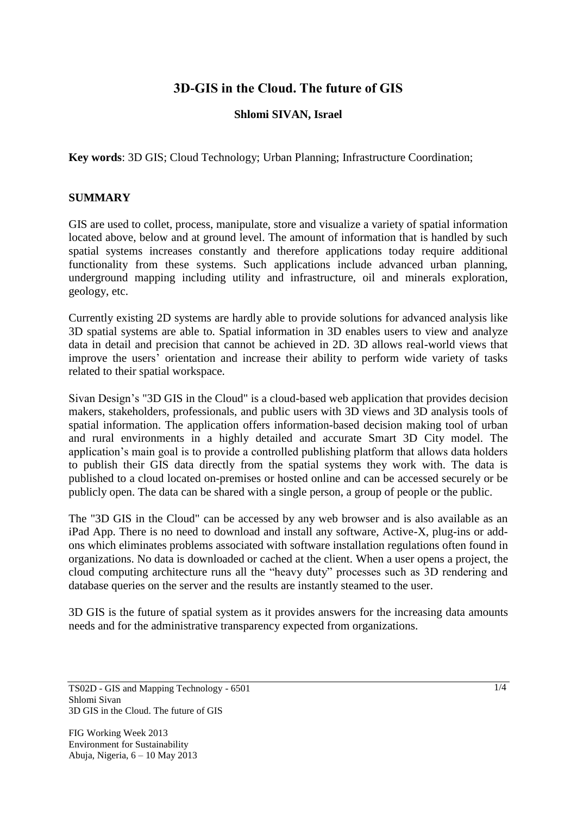# **3D-GIS in the Cloud. The future of GIS**

## **Shlomi SIVAN, Israel**

**Key words**: 3D GIS; Cloud Technology; Urban Planning; Infrastructure Coordination;

### **SUMMARY**

GIS are used to collet, process, manipulate, store and visualize a variety of spatial information located above, below and at ground level. The amount of information that is handled by such spatial systems increases constantly and therefore applications today require additional functionality from these systems. Such applications include advanced urban planning, underground mapping including utility and infrastructure, oil and minerals exploration, geology, etc.

Currently existing 2D systems are hardly able to provide solutions for advanced analysis like 3D spatial systems are able to. Spatial information in 3D enables users to view and analyze data in detail and precision that cannot be achieved in 2D. 3D allows real-world views that improve the users' orientation and increase their ability to perform wide variety of tasks related to their spatial workspace.

Sivan Design's "3D GIS in the Cloud" is a cloud-based web application that provides decision makers, stakeholders, professionals, and public users with 3D views and 3D analysis tools of spatial information. The application offers information-based decision making tool of urban and rural environments in a highly detailed and accurate Smart 3D City model. The application's main goal is to provide a controlled publishing platform that allows data holders to publish their GIS data directly from the spatial systems they work with. The data is published to a cloud located on-premises or hosted online and can be accessed securely or be publicly open. The data can be shared with a single person, a group of people or the public.

The "3D GIS in the Cloud" can be accessed by any web browser and is also available as an iPad App. There is no need to download and install any software, Active-X, plug-ins or addons which eliminates problems associated with software installation regulations often found in organizations. No data is downloaded or cached at the client. When a user opens a project, the cloud computing architecture runs all the "heavy duty" processes such as 3D rendering and database queries on the server and the results are instantly steamed to the user.

3D GIS is the future of spatial system as it provides answers for the increasing data amounts needs and for the administrative transparency expected from organizations.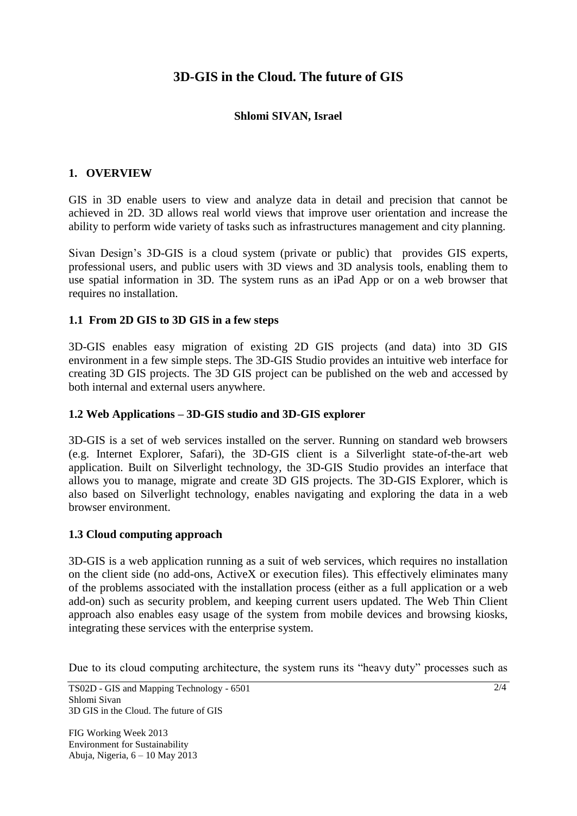# **3D-GIS in the Cloud. The future of GIS**

## **Shlomi SIVAN, Israel**

## **1. OVERVIEW**

GIS in 3D enable users to view and analyze data in detail and precision that cannot be achieved in 2D. 3D allows real world views that improve user orientation and increase the ability to perform wide variety of tasks such as infrastructures management and city planning.

Sivan Design's 3D-GIS is a cloud system (private or public) that provides GIS experts, professional users, and public users with 3D views and 3D analysis tools, enabling them to use spatial information in 3D. The system runs as an iPad App or on a web browser that requires no installation.

### **1.1 From 2D GIS to 3D GIS in a few steps**

3D-GIS enables easy migration of existing 2D GIS projects (and data) into 3D GIS environment in a few simple steps. The 3D-GIS Studio provides an intuitive web interface for creating 3D GIS projects. The 3D GIS project can be published on the web and accessed by both internal and external users anywhere.

#### **1.2 Web Applications – 3D-GIS studio and 3D-GIS explorer**

3D-GIS is a set of web services installed on the server. Running on standard web browsers (e.g. Internet Explorer, Safari), the 3D-GIS client is a Silverlight state-of-the-art web application. Built on Silverlight technology, the 3D-GIS Studio provides an interface that allows you to manage, migrate and create 3D GIS projects. The 3D-GIS Explorer, which is also based on Silverlight technology, enables navigating and exploring the data in a web browser environment.

#### **1.3 Cloud computing approach**

3D-GIS is a web application running as a suit of web services, which requires no installation on the client side (no add-ons, ActiveX or execution files). This effectively eliminates many of the problems associated with the installation process (either as a full application or a web add-on) such as security problem, and keeping current users updated. The Web Thin Client approach also enables easy usage of the system from mobile devices and browsing kiosks, integrating these services with the enterprise system.

Due to its cloud computing architecture, the system runs its "heavy duty" processes such as

TS02D - GIS and Mapping Technology - 6501 Shlomi Sivan 3D GIS in the Cloud. The future of GIS

FIG Working Week 2013 Environment for Sustainability Abuja, Nigeria, 6 – 10 May 2013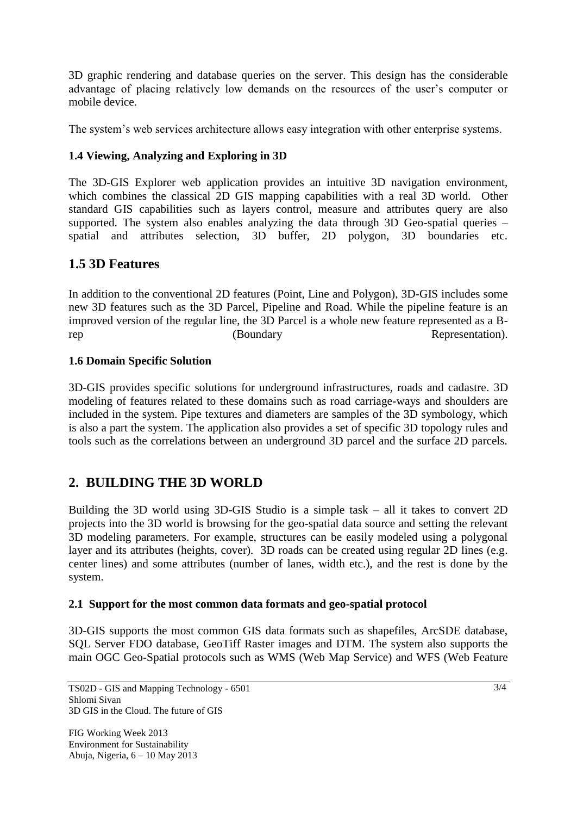3D graphic rendering and database queries on the server. This design has the considerable advantage of placing relatively low demands on the resources of the user's computer or mobile device.

The system's web services architecture allows easy integration with other enterprise systems.

## **1.4 Viewing, Analyzing and Exploring in 3D**

The 3D-GIS Explorer web application provides an intuitive 3D navigation environment, which combines the classical 2D GIS mapping capabilities with a real 3D world. Other standard GIS capabilities such as layers control, measure and attributes query are also supported. The system also enables analyzing the data through 3D Geo-spatial queries – spatial and attributes selection, 3D buffer, 2D polygon, 3D boundaries etc.

# **1.5 3D Features**

In addition to the conventional 2D features (Point, Line and Polygon), 3D-GIS includes some new 3D features such as the 3D Parcel, Pipeline and Road. While the pipeline feature is an improved version of the regular line, the 3D Parcel is a whole new feature represented as a Brep (Boundary Representation).

## **1.6 Domain Specific Solution**

3D-GIS provides specific solutions for underground infrastructures, roads and cadastre. 3D modeling of features related to these domains such as road carriage-ways and shoulders are included in the system. Pipe textures and diameters are samples of the 3D symbology, which is also a part the system. The application also provides a set of specific 3D topology rules and tools such as the correlations between an underground 3D parcel and the surface 2D parcels.

# **2. BUILDING THE 3D WORLD**

Building the 3D world using 3D-GIS Studio is a simple task – all it takes to convert 2D projects into the 3D world is browsing for the geo-spatial data source and setting the relevant 3D modeling parameters. For example, structures can be easily modeled using a polygonal layer and its attributes (heights, cover). 3D roads can be created using regular 2D lines (e.g. center lines) and some attributes (number of lanes, width etc.), and the rest is done by the system.

## **2.1 Support for the most common data formats and geo-spatial protocol**

3D-GIS supports the most common GIS data formats such as shapefiles, ArcSDE database, SQL Server FDO database, GeoTiff Raster images and DTM. The system also supports the main OGC Geo-Spatial protocols such as WMS (Web Map Service) and WFS (Web Feature